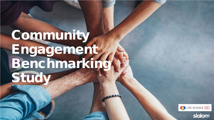# **Community** Engagement Benchmarking Study



slalom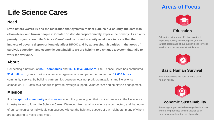### **Life Science Cares**

#### **Need**

**Even before COVID-19 and the realization that systemic racism plagues our country, the data was clear—black and brown people in Greater Boston disproportionately experience poverty. As an antipoverty organization, Life Science Cares' work is rooted in equity as all data indicate that the impacts of poverty disproportionately affect BIPOC and by addressing disparities in the areas of survival, education, and economic sustainability we are helping to dismantle a system that fails to work for everyone.**

#### **About**

Connecting a network of **350+ companies** and **163 C-level advisors**, Life Science Cares has contributed **\$3.6 million** in grants to 42 social-service organizations and performed more than **12,000 hours** of community service. By building partnerships between local nonprofit organizations and life science companies, LSC acts as a conduit to provide strategic support, volunteerism and employee engagement.

### **Mission**

It is the **spirit of community** and **concern** about the greater good that inspired leaders in the life science industry to join to form **Life Science Cares**. We recognize that all our efforts are connected, and that none of our companies or individuals can succeed without the help and support of our neighbors, many of whom are struggling to make ends meet**.**

### **Areas of Focus**



#### **Education**

Education is the most effective solution to impacting poverty in the long term, so the largest percentage of our support goes to those service providers who work in this area.



#### **Basic Human Survival**

Every person has the right to these basic human needs.



### **Economic Sustainability**

Providing support to the best organizations that work to help families and individuals to lift themselves sustainably out of poverty**.**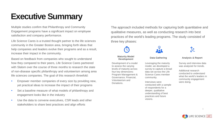## **Executive Summary**

Multiple studies confirm that Philanthropy and Community Engagement programs have a significant impact on employee satisfaction and company performance.

Life Science Cares is a trusted thought partner to the life sciences community in the Greater Boston area, bringing forth ideas that help companies and leaders evolve their programs and as a result, increase their impact in the community.

Based on feedback from companies who sought to understand how they compared to their peers, Life Science Cares partnered with Slalom over the course of three months to research the state of non-disease specific philanthropy and volunteerism among area life sciences companies. The goal of this research threefold:

- Empower member companies of every size by providing new, yet practical ideas to increase the impact of their programs
- Set a baseline measure of what models of philanthropy and engagement looks like in the industry
- Use the data to convene executives, CSR leads and other stakeholders to share best practices and align efforts

The approach included methods for capturing both quantitative and qualitative measures, as well as conducting research into best practices of the world's leading programs. The study consisted of three key phases:

## **Maturity Model**  Development of a model

to assess the varying levels of maturity across four key dimensions: Program Management & Governance, Financial, Volunteerism and Donations.



Leveraging the maturity model, we developed a survey to capture a broad data set across the Life Science Cares member community.

Interviews were conducted with a sample of respondents for a deeper, qualitative understanding of best practices and future visions.



#### **Development Data Gathering Analysis & Report**

Survey and interview data was analyzed for trends.

Additional research conducted to understand what the world's leaders in community engagement were doing.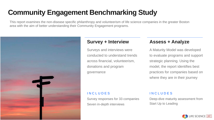## **Community Engagement Benchmarking Study**

This report examines the non-disease specific philanthropy and volunteerism of life science companies in the greater Boston area with the aim of better understanding their Community Engagement programs.



### **Survey + Interview**

Surveys and interviews were conducted to understand trends across financial, volunteerism, donations and program governance

### **Assess + Analyze**

A Maturity Model was developed to evaluate programs and support strategic planning. Using the model, the report identifies best practices for companies based on where they are in their journey

#### INCLUDES

Survey responses for 33 companies Seven in-depth interviews

#### INCLUDES

Deep-dive maturity assessment from Start Up to Leading

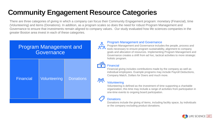## **Community Engagement Resource Categories**

There are three categories of giving in which a company can focus their Community Engagement program: monetary (Financial), time (Volunteering) and items (Donations). In addition, as a program scales so does the need for robust Program Management and Governance to ensure that investments remain aligned to company values. Our study evaluated how life sciences companies in the greater Boston area invest in each of these categories.

### Program Management and **Governance**



#### Program Management and Governance

 $\overline{\mathcal{L}}$ Program Management and Governance includes the people, process and tools necessary to ensure program sustainability, alignment to company goals and allocation of resources. Implementing Program Management and Governance creates a shift from ad hoc, tactical activities to more strategic holistic program.



#### Financial

Financial giving includes contributions made by the company as well as individual employees. Example programs may include Payroll Deductions, Company Match, Dollars for Doers and much more.

#### <mark>್ಲಿ</mark> Volunteering

Volunteering is defined as the investment of time supporting a charitable organization; this time may include a range of activities from participation in one-time events to ongoing board participation.

#### **Donations**

Donations include the giving of items, including facility space, by individuals or the company excluding product donations.

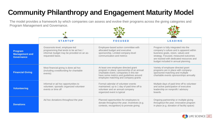## **Community Philanthropy and Engagement Maturity Model**

The model provides a framework by which companies can assess and evolve their programs across the giving categories and Program Management and Governance.  $-294$  $-90 -$ 

|                                                       | <b>STARTUP</b>                                                                                                                           | <b>FOCUSED</b>                                                                                                                                                                                                    | <b>LEADING</b>                                                                                                                                                                                                                                    |
|-------------------------------------------------------|------------------------------------------------------------------------------------------------------------------------------------------|-------------------------------------------------------------------------------------------------------------------------------------------------------------------------------------------------------------------|---------------------------------------------------------------------------------------------------------------------------------------------------------------------------------------------------------------------------------------------------|
| Program<br><b>Management and</b><br><b>Governance</b> | Grassroots-level, employee-led<br>programming that tends to be ad hoc/<br>informal; budget may be provided on an as-<br>requested basis. | Employee-based action committee with<br>allocated budget and executive<br>sponsorship. Limited company-level<br>communication and metrics                                                                         | Program is fully integrated into the<br>company's culture and is apparent within<br>business goals, vision, values and<br>strategy. Focused, measured outcomes<br>are tracked with dedicated resources and<br>budget included in annual planning. |
| <b>Financial Giving</b>                               | Most financial giving is done ad hoc<br>(including crowdfunding for charitable<br>events)                                                | At least one employee directed grant<br>program in place; sponsorship of an annual<br>charitable event; companies in this tier<br>have some metrics and guidelines around<br>employee matching and company grants | Variety of employee directed grant<br>programs are in place with company-<br>sponsored matching and multiple<br>charitable events sponsorships annually                                                                                           |
| <b>Volunteering</b>                                   | Informal or ad hoc opportunities to<br>volunteer; sporadic organized volunteer<br>events or time off                                     | Formal calendar of volunteer events<br>maintained; up to 1 day of paid time off to<br>volunteer and an annual company<br>organized event is typical                                                               | Multiple days of paid time off to volunteer<br>and active participation of executive<br>leadership on nonprofit / advisory<br>boards.                                                                                                             |
| <b>Donations</b>                                      | Ad hoc donations throughout the year                                                                                                     | Planned opportunities for employees to<br>donate throughout the year; incentives (e.g.<br>contests, recognition) to promote giving                                                                                | Ongoing partnership or multiple giving<br>throughout the year; innovative program<br>in place (e.g. donation of facility space)                                                                                                                   |

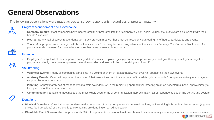### **General Observations**

The following observations were made across all survey respondents, regardless of program maturity.



ಸ್ಗ್ರ

#### Program Management and Governance

- **Company Culture:** Most companies have incorporated their programs into their company's vision, goals, values, etc. but few are discussing it with their boards / investors.
- Metrics: Nearly half of survey respondents don't track program metrics; those that do, focus on volunteering # of hours, participants and events
- **Tools:** Most programs are managed with basic tools such as Excel; very few are using advanced tools such as Benevity, YourCause or Blackbaud. As programs scale, the need for more advanced tools becomes increasingly important

### $\widehat{\bullet}$

#### Financial

**Employee Giving**: Half of the companies surveyed don't provide employee giving programs, approximately a third give through employee recognition programs and only three gave employees the option to select a donation in lieu of receiving a holiday gift

#### **Volunteering**

- **Volunteer Events:** Nearly all companies participate in a volunteer event at least annually, with over half sponsoring their own events
- Advisory Boards: Over half responded that some of their executives participate in non-profit or advisory boards; only 5 companies actively encourage and support placement on boards
- **Planning:** Approximately half of respondents maintain calendars, while the remaining approach volunteering on an ad hoc/informal basis; approximately a third plan 6 months or more in advance
- **Communication:** Email and meetings are the most widely used forms of communication; approximately half of respondents use online portals and posters.

### **Donations**

- **Physical Donations:** Over half of respondents make donations; of those companies who make donations, half are doing it through a planned event (e.g. coat drives, food donations) or partnership (the remaining are donating on an ad hoc basis)
- **Charitable Event Sponsorship:** Approximately 90% of respondents sponsor at least one charitable event annually and many sponsor four or more events

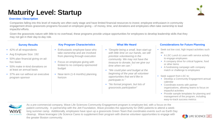### **Maturity Level: Startup**

#### **Overview / Description**

Companies falling into this level of maturity are often early stage and have limited financial resources to invest; employee enthusiasm in community engagement drives grassroots programs focused on employee giving – of money, time, and donations and employees often take ownership to lead impactful efforts.

Given the grassroots nature with little to no overhead, these programs provide unique opportunities for employees to develop leadership skills that they may not get in their day-to-day role.

#### **Survey Results**

- 42% of all respondents
- Avg Employee Size: 192
- 50% plan financial giving on adhoc basis
- 50% make in-kind donations on at least an annual basis
- 37% are run without an executive program sponsor

#### **Key Program Characteristics What We Heard**

- Enthusiastic employee base who take ownership and are involved from planning through execution
- Focus on employee giving with limited to no company-sponsored budget
- Near-term (1-6 months) planning horizon

- *"Despite being a small, lean start-up with little time on our hands, we still prioritize volunteering in the community. We may not have the treasure to donate, but we give our time when we can."*
- *"We could plan and budget at the beginning of the year all volunteer opportunities that we'd like to participate in."*
- *"No formal program, but lots of grassroots participation"*

#### **Considerations for Future Planning**

- Seek out low cost, high impact activities such as:
	- A LSC Lunch & Learn with service activity to engage employees
	- A company drive for critical hygiene, food or other items
	- A fundraising campaign with company match or challenge to employees
- Seek support from LSC to:
	- Develop a Community Engagement annual calendar
	- Coordinate events with partner organizations, allowing teams to focus on impactful activities
	- Provide sample templates for planning and management of the program, including easy-to-track success metrics



As a pre-commercial company, Wave Life Sciences Community Engagement program is employee-led, with a focus on the patient community. In partnership with the Jett Foundation, Wave provides the opportunity for DMD patients to attend a weeklong summer camp. Additionally, employees have spun up a grassroots Green Team that coordinates events such as Earth Day cleanup. Wave leverages Life Science Cares to supplement their program with diverse volunteer opportunities to engage with the greater Boston community.



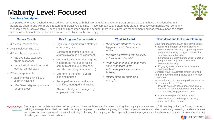### **Maturity Level: Focused**

#### **Overview / Description**

Companies who have reached a Focused level of maturity with their Community Engagement program are those that have transitioned from a grassroots effort to one with more structure and proactive planning. These companies are often early stage or recently commercial, with companysponsored resources available. These additional resources drive the need for more robust program management and leadership support to ensure that the allocation of those additional resources are aligned with company goals.

- 40% of all respondents
- Avg Employee Size: 210
- 46% of these respondents:
	- had a C-Suite executive program sponsor
	- make in-kind donations on at least an annual basis
- 23% of respondents:
	- plan financial giving 1 to 3 years in advance
	- offer financial giving programs for employees

#### **Survey Results Key Program Characteristics What We Heard**

- High-level alignment with strategic enterprise goals
- Dedicated resources to ensure strategic planning and alignment
- Community Engagement program incorporated into public-facing communications (e.g. company website, recruiting, annual report)
- Mid-term (6 months 1 year) planning horizon
- Some performance metrics are identified, managed and tracked
- Allocated budgeted managed by employee committee

- *"Coordinate efforts to make a bigger impact to fewer nonprofits"*
- *"Reward employees with flexibility in their work schedule"*
- *"Plan further ahead, engage more senior sponsors, more volunteering activities for team building"*
- *"Better strategy, organizing principles"*

#### **Considerations for Future Planning**

- Drive further alignment with company goals by:
	- Identifying program priorities aligned to company objectives (e.g. supporting STEM programs, focusing on organizations with significant unmet needs)
	- Establishing metrics that measure impact of program (e.g. employee satisfaction, community impact)
	- Engaging a senior leader as a program sponsor/advisor
- Consider ways to automate employee giving (e.g. company matching, cause cards, holiday donations).
- Increase impact through non-profit partnerships
- Seek support from LSC to:
	- Provide business case support; helping to quantify the value for each dollar invested in a Community Engagement program
	- Connect with program leads across companies to share best practices (e.g. round table discussions)



The program as it exists today has defined goals and have published a white paper outlining the company's commitment to CSR. As they look to the future, Moderna is building a strategy that will help to sustain the program in years to come by integrating within the company's culture and drive consistent goal-setting. Additionally, they are exploring various partnerships. With this strategic planning, the company will be prepared to scale the program once they become a commercial company – having already agreed on a vision in advance.

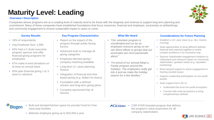### **Survey Results Key Program Characteristics What We Heard**

and community engagement to ensure sustainable impact in years to come.

- 18% of respondents
- Avg Employee Size: 2,680
- 83% had a C-Suite executive program sponsor and offer financial giving programs for employees
- 67% make in-kind donations on at least an annual basis
- 50% plan financial giving 1 to 3 years in advance

**Biogen** 

Companies whose programs are at a Leading level of maturity tend to be those with the longevity and revenue to support long term planning and commitment. Many of these companies have established foundations that focus resources, financial and employee, exclusively on philanthropy

- Report on the impact of the program through public-facing forums
- Advanced tools to manage all giving categories
- Employee-directed giving / company matching available
- Long-term (1+ year) planning horizon
- Integration of financial and timebased giving (e.g. dollars for doers)
- Foundation with a defined mission and long-term giving plans
- Company-sponsored Day of Service

- *"Our volunteer program is coordinated and run by an employee resource group so we can direct efforts to groups that our associates are most passionate about."*
- *"I'm proud of our annual Adopt a Family program around the holidays. The employees really get into it and we make the holiday season for a few families."*

#### **Considerations for Future Planning**

- Establish a 10+ year vision (e.g. J&J, Owens-Corning)
- Seek opportunities to bring different skillsets (internal and external) together to tackle complex problems in an innovative way
- Sponsor Stakeholder engagement initiatives to understand and measure impact on community stakeholders' greatest needs (e.g. reputation monitoring)
- Move beyond support to active engagement in framing societal issues
- Support Leadership participation on non-profit boards
- Seek support from LSC to:
	- Understand the local non-profit ecosystem
	- Connect with external partners to bring complementary skillsets

meal prep facilities

• Built and donated kitchen space for provide Food for Free

• Matches employee giving up to \$25,000 a year

**ALEXION** • CSR-STAR branded program that defines the program's value proposition for all company stakeholders





## **Maturity Level: Leading**

#### **Overview / Description**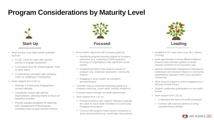### **Program Considerations by Maturity Level**



- Seek out low cost, high impact activities such as:
	- A LSC Lunch & Learn with service activity to engage employees
	- A company drive for critical hygiene, food or other items
	- A fundraising campaign with company match or challenge to employees
- Seek support from LSC to:
	- Develop a Community Engagement annual calendar
	- Coordinate events with partner organizations, allowing teams to focus on impactful activities
	- Provide sample templates for planning and management of the program, including easy-to-track success metrics



- Drive further alignment with company goals by:
	- Identifying program priorities aligned to company objectives (e.g. supporting STEM programs, focusing on organizations with significant unmet needs)
	- Establishing metrics that measure impact of program (e.g. employee satisfaction, community impact)
	- Engaging a senior leader as a program sponsor/advisor
- Consider ways to automate employee giving (e.g. company matching, cause cards, holiday donations).
- Increase impact through non-profit partnerships
- Seek support from LSC to:
	- Provide business case support; helping to quantify the value for each dollar invested in a Community Engagement program
	- Connect with program leads across companies to share best practices (e.g. round table discussions)



- Establish a 10+ year vision (e.g. J&J, Owens-Corning)
- Seek opportunities to bring different skillsets (internal and external) together to tackle complex problems in an innovative way
- Sponsor Stakeholder engagement initiatives to understand and measure impact on community stakeholders' greatest needs (e.g. reputation monitoring)
- Move beyond support to active engagement in framing societal issues
- Support Leadership participation on non-profit boards
- Seek support from LSC to:
	- Understand the local non-profit ecosystem
	- Connect with external partners to bring complementary skillsets

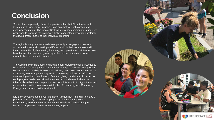### **Conclusion**

Studies have repeatedly shown the positive effect that Philanthropy and Community Engagement programs have on employee satisfaction and company reputation. The greater Boston life sciences community is uniquely positioned to leverage the power of a highly connected network to accelerate the development impact of their individual programs.

Through this study, we have had the opportunity to engage with leaders across the industry who making a difference within their companies and in their communities by harnessing the energy and passion of their teams. We have learned that every program, regardless of the company's size and maturity, has the desire to do more.

The Community Philanthropy and Engagement Maturity Model is intended to be a resource for companies to identify novel ways to enhance their program by better understanding those of their industry peers. Most companies will not fit perfectly into a single maturity level – some may be focusing efforts on volunteering while others focus on financial giving…and that's ok. It's up to each program leader to work with their teams to understand where the interests lie within their companies. We hope this report will trigger ideas and conversations within companies to take their Philanthropy and Community Engagement program to the next level.

Life Science Cares can be your partner on this journey - helping to shape a program in its early stage, developing a plan for the coming year or connecting you with a network of other individuals who are aspiring to harness company resources for community impact.

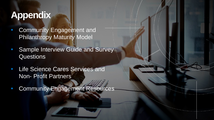## **Appendix**

- Community Engagement and Philanthropy Maturity Model
- Sample Interview Guide and Survey Questions
- **Life Science Cares Services and** Non- Profit Partners
- Community Engagement Resources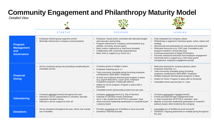### **Community Engagement and Philanthropy Maturity Model**

*Detailed View*

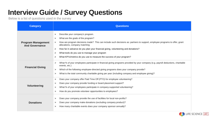### **Interview Guide / Survey Questions**

Below is a list of questions used in the survey

| <b>Category</b>                                    | <b>Questions</b>                                                                                                                                                                                                                                                                                                                                                                                                                                                                  |  |  |
|----------------------------------------------------|-----------------------------------------------------------------------------------------------------------------------------------------------------------------------------------------------------------------------------------------------------------------------------------------------------------------------------------------------------------------------------------------------------------------------------------------------------------------------------------|--|--|
| <b>Program Management</b><br><b>And Governance</b> | Describe your company's program.<br>➤<br>What are the goals of the program?<br>➤<br>How are program decisions made? This can include such decisions as: partners to support, employee programs to offer, grant<br>➤<br>allocations, company matching<br>How far in advance do you plan your financial giving, volunteering and donations?<br>➤<br>What tools do you use to manage your program<br>➤<br>What KPI's/metrics do you use to measure the success of your program?<br>➤ |  |  |
| <b>Financial Giving</b>                            | What % of your employees participate in financial giving programs provided by your company (e.g. payroll deductions, charitable<br>➤<br>events, etc.)<br>Which of the following employee-directed giving programs does your company provide?<br>➤<br>What is the total community charitable giving per year (including company and employee giving)?<br>➤                                                                                                                         |  |  |
| Volunteering                                       | Does your company offer Paid Time Off (PTO) for employee volunteering?<br>$\blacktriangleright$<br>Does your company provide funding or board placement support?<br>➤<br>What % of your employees participate in company-supported volunteering?<br>➤<br>How do you promote volunteer opportunities to employees?<br>➤                                                                                                                                                            |  |  |
| <b>Donations</b>                                   | Does your company provide the use of facilities for local non-profits?<br>➤<br>Does your company make donations (excluding company product)?<br>➤<br>How many charitable events does your company sponsor annually?<br>➤                                                                                                                                                                                                                                                          |  |  |

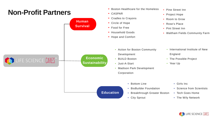### **Non-Profit Partners**



• Boston Healthcare for the Homeless



• Pine Street Inn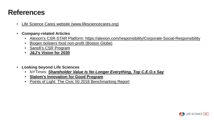### **References**

- [Life Science Cares website \(www.lifesciencecares.org\)](http://www.lifesciencecares.org/)
- **Company-related Articles**
	- [Alexion's CSR-STAR Platform: https://alexion.com/responsibility/Corporate-Social-Responsibility](https://alexion.com/responsibility/Corporate-Social-Responsibility)
	- [Biogen bolsters food non-profit \(Boston Globe\)](https://www.bostonglobe.com/business/2019/05/13/biogen-bolsters-food-nonprofit/SzQbwkHn4DAwsnjcmeGcEN/story.html)
	- [Sanofi's CSR Program](https://www.sanofi.com/en/our-responsibility/corporate-citizenship)
	- **[J&J's Vision for 2030](https://www.jnj.com/sustainable-development-goals)**
- **Looking beyond Life Sciences**
	- NYTimes: *[Shareholder Value Is No Longer Everything, Top C.E.O.s Say](https://www.nytimes.com/2019/08/19/business/business-roundtable-ceos-corporations.html)*
	- **[Slalom's Innovation for Good Program](https://www.slalom.com/innovation-for-good)**
	- [Points of Light: The Civic 50 2018 Benchmarking Report](https://www.pointsoflight.org/resources/the-civic-50-2018-benchmarking-report/)

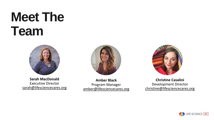# **Meet The Team**



**Sarah MacDonald** Executive Director [sarah@lifesciencecares.org](mailto:sarah@lifesciencecares.org)



**Amber Black** Program Manager [amber@lifesciencecares.org](mailto:amber@lifesciencecares.org)



**Christine Casalini** Development Director [christine@lifesciencecares.org](mailto:amber@lifesciencecares.org)